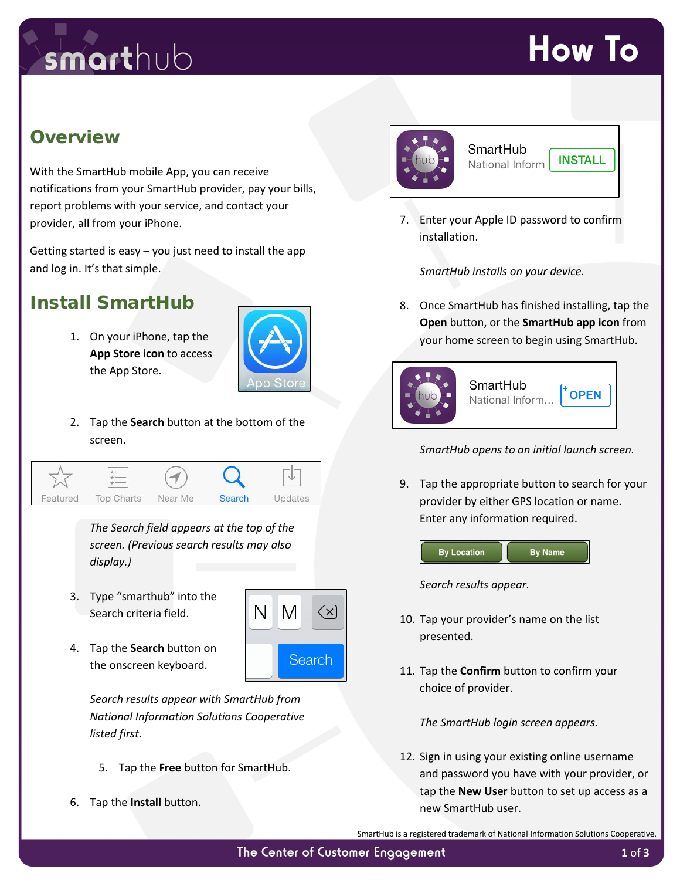## smarthub

## **How To**

#### **Overview**

With the SmartHub mobile App, you can receive notifications from your SmartHub provider, pay your bills, report problems with your service, and contact your provider, all from your iPhone.

Getting started is easy – you just need to install the app and log in. It's that simple.

### Install SmartHub

1. On your iPhone, tap the **App Store icon** to access the App Store.



N I

M

 $\left\langle \chi \right\rangle$ 

Search

2. Tap the **Search** button at the bottom of the screen.



*The Search field appears at the top of the screen. (Previous search results may also display.)* 

- 3. Type "smarthub" into the Search criteria field.
- 4. Tap the **Search** button on the onscreen keyboard.

*Search results appear with SmartHub from National Information Solutions Cooperative listed first.*

- 5. Tap the **Free** button for SmartHub.
- 6. Tap the **Install** button.



#### SmartHub National Inform

**INSTALL** 

7. Enter your Apple ID password to confirm installation.

*SmartHub installs on your device.* 

8. Once SmartHub has finished installing, tap the **Open** button, or the **SmartHub app icon** from your home screen to begin using SmartHub.



*SmartHub opens to an initial launch screen.*

9. Tap the appropriate button to search for your provider by either GPS location or name. Enter any information required.



*Search results appear.*

- 10. Tap your provider's name on the list presented.
- 11. Tap the **Confirm** button to confirm your choice of provider.

*The SmartHub login screen appears.*

12. Sign in using your existing online username and password you have with your provider, or tap the **New User** button to set up access as a new SmartHub user.

SmartHub is a registered trademark of National Information Solutions Cooperative.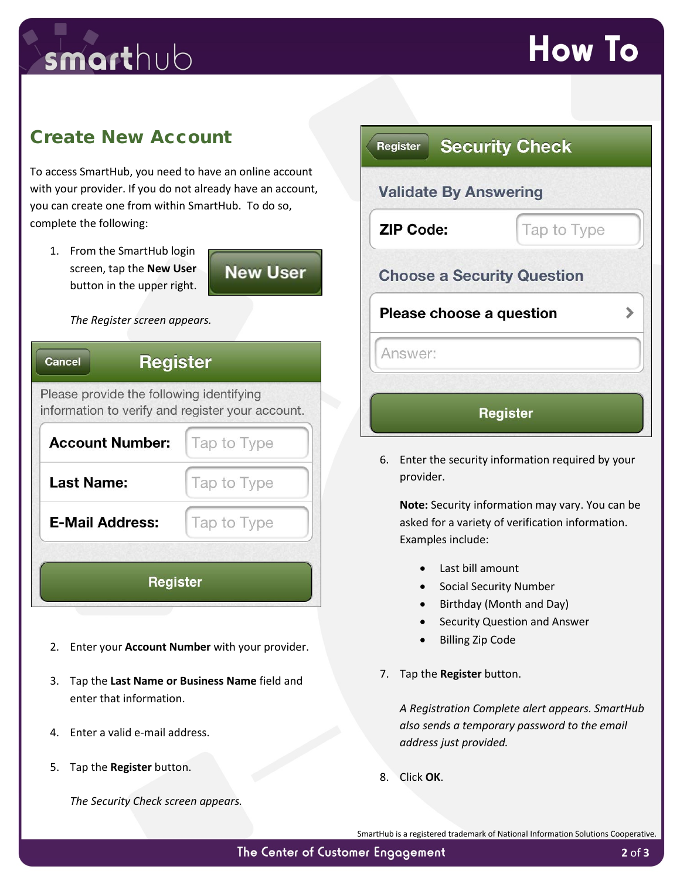## smarthub

### **How To**

#### Create New Account

To access SmartHub, you need to have an online account with your provider. If you do not already have an account, you can create one from within SmartHub. To do so, complete the following:

1. From the SmartHub login screen, tap the **New User** button in the upper right.



#### *The Register screen appears.*

| <b>Register</b><br><b>Cancel</b>                                                             |             |  |
|----------------------------------------------------------------------------------------------|-------------|--|
| Please provide the following identifying<br>information to verify and register your account. |             |  |
| <b>Account Number:</b>                                                                       | Tap to Type |  |
| <b>Last Name:</b>                                                                            | Tap to Type |  |
| <b>E-Mail Address:</b>                                                                       | Tap to Type |  |
| <b>Register</b>                                                                              |             |  |

- 2. Enter your **Account Number** with your provider.
- 3. Tap the **Last Name or Business Name** field and enter that information.
- 4. Enter a valid e-mail address.
- 5. Tap the **Register** button.

*The Security Check screen appears.*

| Register                          | <b>Security Check</b> |
|-----------------------------------|-----------------------|
| <b>Validate By Answering</b>      |                       |
| <b>ZIP Code:</b>                  | Tap to Type           |
| <b>Choose a Security Question</b> |                       |
| Please choose a question          |                       |
| Answer:                           |                       |
|                                   | <b>Register</b>       |

6. Enter the security information required by your provider.

**Note:** Security information may vary. You can be asked for a variety of verification information. Examples include:

- Last bill amount
- Social Security Number
- Birthday (Month and Day)
- Security Question and Answer
- Billing Zip Code
- 7. Tap the **Register** button.

*A Registration Complete alert appears. SmartHub also sends a temporary password to the email address just provided.* 

8. Click **OK**.

SmartHub is a registered trademark of National Information Solutions Cooperative.